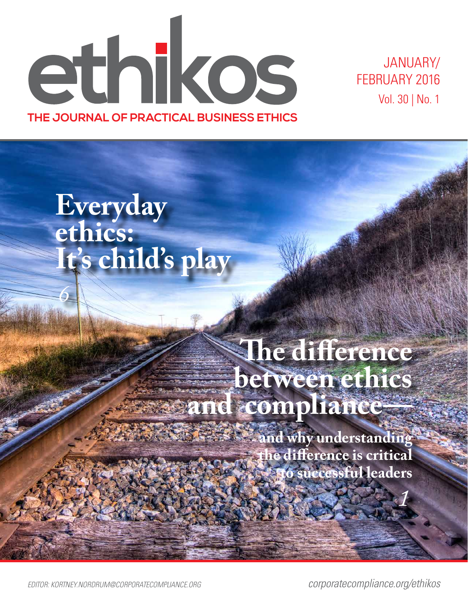ethikos **THE JOURNAL OF PRACTICAL BUSINESS ETHICS**

JANUARY/ FEBRUARY 2016 Vol. 30 | No. 1

# **Everyday ethics: It's child's play**

*6*

## **The difference between ethics and compliance—**

**and why understanding the difference is critical to successful leaders**

*EDITOR: KORTNEY.NORDRUM@CORPORATECOMPLIANCE.ORG corporatecompliance.org/ethikos*

*1*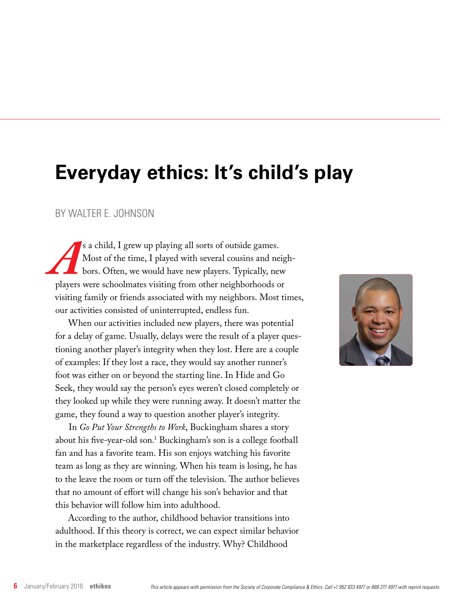### **Everyday ethics: It's child's play**

### BY WALTER E. JOHNSON

<sup>8</sup>s a child, I grew up playing all sorts of outside games.<br>
Most of the time, I played with several cousins and net bors. Often, we would have new players. Typically, net players were schoolmates visiting from other neigh Most of the time, I played with several cousins and neighbors. Often, we would have new players. Typically, new players were schoolmates visiting from other neighborhoods or visiting family or friends associated with my neighbors. Most times, our activities consisted of uninterrupted, endless fun.

When our activities included new players, there was potential for a delay of game. Usually, delays were the result of a player questioning another player's integrity when they lost. Here are a couple of examples: If they lost a race, they would say another runner's foot was either on or beyond the starting line. In Hide and Go Seek, they would say the person's eyes weren't closed completely or they looked up while they were running away. It doesn't matter the game, they found a way to question another player's integrity.

In *Go Put Your Strengths to Work*, Buckingham shares a story about his five-year-old son.1 Buckingham's son is a college football fan and has a favorite team. His son enjoys watching his favorite team as long as they are winning. When his team is losing, he has to the leave the room or turn off the television. The author believes that no amount of effort will change his son's behavior and that this behavior will follow him into adulthood.

According to the author, childhood behavior transitions into adulthood. If this theory is correct, we can expect similar behavior in the marketplace regardless of the industry. Why? Childhood

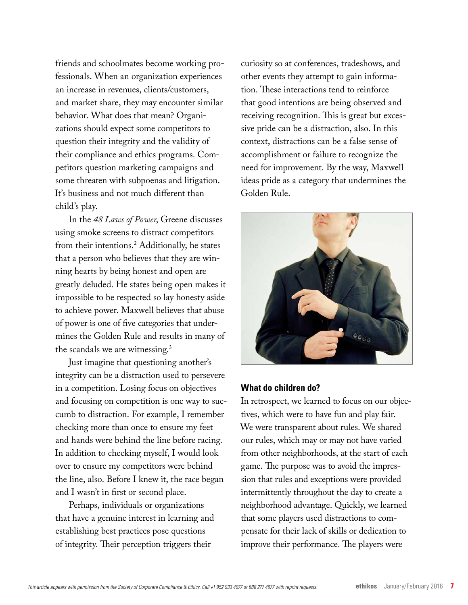friends and schoolmates become working professionals. When an organization experiences an increase in revenues, clients/customers, and market share, they may encounter similar behavior. What does that mean? Organizations should expect some competitors to question their integrity and the validity of their compliance and ethics programs. Competitors question marketing campaigns and some threaten with subpoenas and litigation. It's business and not much different than child's play.

In the *48 Laws of Power*, Greene discusses using smoke screens to distract competitors from their intentions.2 Additionally, he states that a person who believes that they are winning hearts by being honest and open are greatly deluded. He states being open makes it impossible to be respected so lay honesty aside to achieve power. Maxwell believes that abuse of power is one of five categories that undermines the Golden Rule and results in many of the scandals we are witnessing.3

Just imagine that questioning another's integrity can be a distraction used to persevere in a competition. Losing focus on objectives and focusing on competition is one way to succumb to distraction. For example, I remember checking more than once to ensure my feet and hands were behind the line before racing. In addition to checking myself, I would look over to ensure my competitors were behind the line, also. Before I knew it, the race began and I wasn't in first or second place.

Perhaps, individuals or organizations that have a genuine interest in learning and establishing best practices pose questions of integrity. Their perception triggers their

curiosity so at conferences, tradeshows, and other events they attempt to gain information. These interactions tend to reinforce that good intentions are being observed and receiving recognition. This is great but excessive pride can be a distraction, also. In this context, distractions can be a false sense of accomplishment or failure to recognize the need for improvement. By the way, Maxwell ideas pride as a category that undermines the Golden Rule.



#### **What do children do?**

In retrospect, we learned to focus on our objectives, which were to have fun and play fair. We were transparent about rules. We shared our rules, which may or may not have varied from other neighborhoods, at the start of each game. The purpose was to avoid the impression that rules and exceptions were provided intermittently throughout the day to create a neighborhood advantage. Quickly, we learned that some players used distractions to compensate for their lack of skills or dedication to improve their performance. The players were